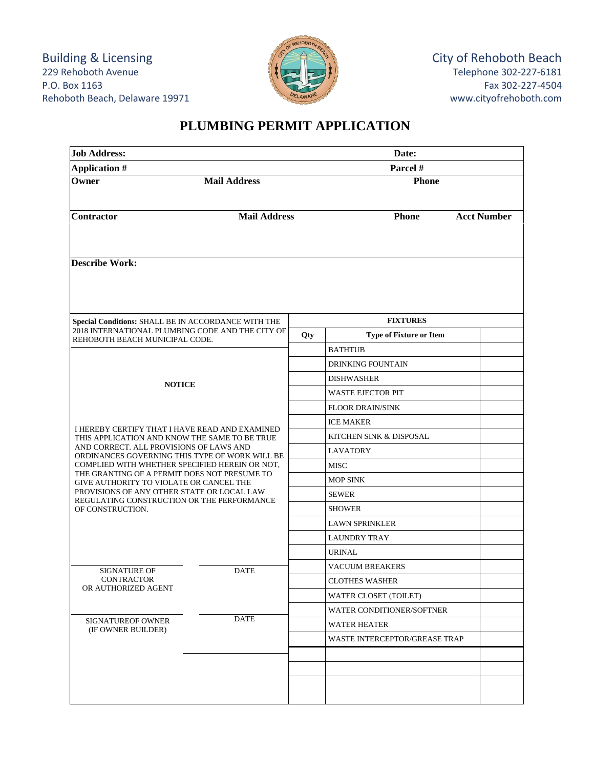Building & Licensing 229 Rehoboth Avenue P.O. Box 1163 Rehoboth Beach, Delaware 19971



## **PLUMBING PERMIT APPLICATION**

| <b>Job Address:</b><br><b>Application #</b>                                                                                                                                                                                            |                     |     | Date:<br>Parcel #                |                    |  |
|----------------------------------------------------------------------------------------------------------------------------------------------------------------------------------------------------------------------------------------|---------------------|-----|----------------------------------|--------------------|--|
|                                                                                                                                                                                                                                        |                     |     |                                  |                    |  |
| <b>Contractor</b>                                                                                                                                                                                                                      | <b>Mail Address</b> |     | <b>Phone</b>                     | <b>Acct Number</b> |  |
| <b>Describe Work:</b>                                                                                                                                                                                                                  |                     |     |                                  |                    |  |
| <b>Special Conditions: SHALL BE IN ACCORDANCE WITH THE</b><br>2018 INTERNATIONAL PLUMBING CODE AND THE CITY OF<br>REHOBOTH BEACH MUNICIPAL CODE.                                                                                       |                     |     | <b>FIXTURES</b>                  |                    |  |
|                                                                                                                                                                                                                                        |                     | Qty | <b>Type of Fixture or Item</b>   |                    |  |
|                                                                                                                                                                                                                                        |                     |     | <b>BATHTUB</b>                   |                    |  |
|                                                                                                                                                                                                                                        |                     |     | <b>DRINKING FOUNTAIN</b>         |                    |  |
| <b>NOTICE</b>                                                                                                                                                                                                                          |                     |     | <b>DISHWASHER</b>                |                    |  |
|                                                                                                                                                                                                                                        |                     |     | <b>WASTE EJECTOR PIT</b>         |                    |  |
|                                                                                                                                                                                                                                        |                     |     | <b>FLOOR DRAIN/SINK</b>          |                    |  |
| I HEREBY CERTIFY THAT I HAVE READ AND EXAMINED                                                                                                                                                                                         |                     |     | <b>ICE MAKER</b>                 |                    |  |
| THIS APPLICATION AND KNOW THE SAME TO BE TRUE                                                                                                                                                                                          |                     |     | KITCHEN SINK & DISPOSAL          |                    |  |
| AND CORRECT. ALL PROVISIONS OF LAWS AND<br>ORDINANCES GOVERNING THIS TYPE OF WORK WILL BE<br>COMPLIED WITH WHETHER SPECIFIED HEREIN OR NOT,<br>THE GRANTING OF A PERMIT DOES NOT PRESUME TO<br>GIVE AUTHORITY TO VIOLATE OR CANCEL THE |                     |     | LAVATORY                         |                    |  |
|                                                                                                                                                                                                                                        |                     |     | <b>MISC</b>                      |                    |  |
|                                                                                                                                                                                                                                        |                     |     | <b>MOP SINK</b>                  |                    |  |
| PROVISIONS OF ANY OTHER STATE OR LOCAL LAW<br>REGULATING CONSTRUCTION OR THE PERFORMANCE<br>OF CONSTRUCTION.                                                                                                                           |                     |     | <b>SEWER</b>                     |                    |  |
|                                                                                                                                                                                                                                        |                     |     | <b>SHOWER</b>                    |                    |  |
|                                                                                                                                                                                                                                        |                     |     | <b>LAWN SPRINKLER</b>            |                    |  |
|                                                                                                                                                                                                                                        |                     |     | <b>LAUNDRY TRAY</b>              |                    |  |
|                                                                                                                                                                                                                                        |                     |     | <b>URINAL</b>                    |                    |  |
| <b>SIGNATURE OF</b>                                                                                                                                                                                                                    | <b>DATE</b>         |     | <b>VACUUM BREAKERS</b>           |                    |  |
| <b>CONTRACTOR</b><br>OR AUTHORIZED AGENT                                                                                                                                                                                               |                     |     | <b>CLOTHES WASHER</b>            |                    |  |
|                                                                                                                                                                                                                                        |                     |     | <b>WATER CLOSET (TOILET)</b>     |                    |  |
|                                                                                                                                                                                                                                        |                     |     | <b>WATER CONDITIONER/SOFTNER</b> |                    |  |
| <b>SIGNATUREOF OWNER</b><br>(IF OWNER BUILDER)                                                                                                                                                                                         | <b>DATE</b>         |     | <b>WATER HEATER</b>              |                    |  |
|                                                                                                                                                                                                                                        |                     |     | WASTE INTERCEPTOR/GREASE TRAP    |                    |  |
|                                                                                                                                                                                                                                        |                     |     |                                  |                    |  |
|                                                                                                                                                                                                                                        |                     |     |                                  |                    |  |
|                                                                                                                                                                                                                                        |                     |     |                                  |                    |  |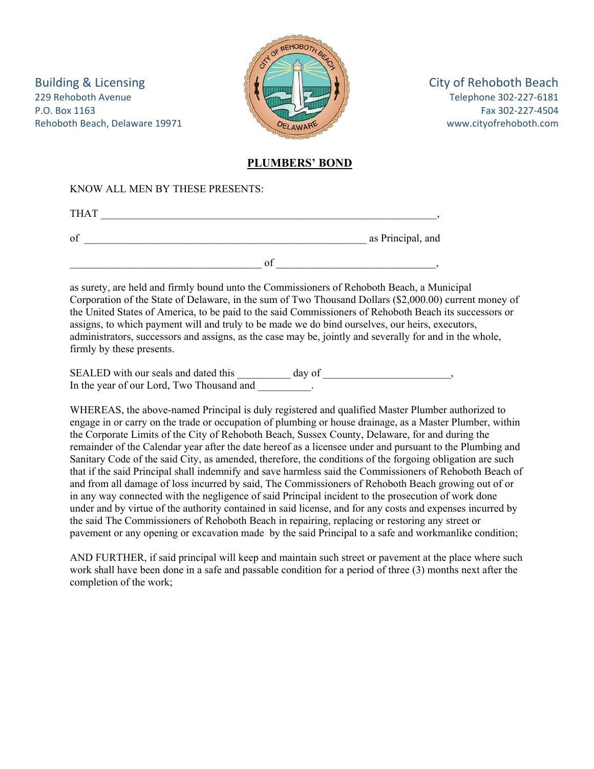Building & Licensing **EXECUTE:**  $\frac{1}{2}$  **City of Rehoboth Beach** 229 Rehoboth Avenue Telephone 302‐227‐6181 P.O. Box 1163 Fax 302‐227‐4504 Rehoboth Beach, Delaware 19971 *DELAWARE DELAWARE WALLER MAGE* **WWW.cityofrehoboth.com** 



## **PLUMBERS' BOND**

## KNOW ALL MEN BY THESE PRESENTS:

| <b>THAT</b>  |                   |
|--------------|-------------------|
| $\mathbf{O}$ | as Principal, and |
|              |                   |

as surety, are held and firmly bound unto the Commissioners of Rehoboth Beach, a Municipal Corporation of the State of Delaware, in the sum of Two Thousand Dollars (\$2,000.00) current money of the United States of America, to be paid to the said Commissioners of Rehoboth Beach its successors or assigns, to which payment will and truly to be made we do bind ourselves, our heirs, executors, administrators, successors and assigns, as the case may be, jointly and severally for and in the whole, firmly by these presents.

SEALED with our seals and dated this day of the sealing of the sealing of the sealing of the sealing of the sealing of the sealing of  $\sim$ In the year of our Lord, Two Thousand and  $\qquad \qquad$ .

WHEREAS, the above-named Principal is duly registered and qualified Master Plumber authorized to engage in or carry on the trade or occupation of plumbing or house drainage, as a Master Plumber, within the Corporate Limits of the City of Rehoboth Beach, Sussex County, Delaware, for and during the remainder of the Calendar year after the date hereof as a licensee under and pursuant to the Plumbing and Sanitary Code of the said City, as amended, therefore, the conditions of the forgoing obligation are such that if the said Principal shall indemnify and save harmless said the Commissioners of Rehoboth Beach of and from all damage of loss incurred by said, The Commissioners of Rehoboth Beach growing out of or in any way connected with the negligence of said Principal incident to the prosecution of work done under and by virtue of the authority contained in said license, and for any costs and expenses incurred by the said The Commissioners of Rehoboth Beach in repairing, replacing or restoring any street or pavement or any opening or excavation made by the said Principal to a safe and workmanlike condition;

AND FURTHER, if said principal will keep and maintain such street or pavement at the place where such work shall have been done in a safe and passable condition for a period of three (3) months next after the completion of the work;